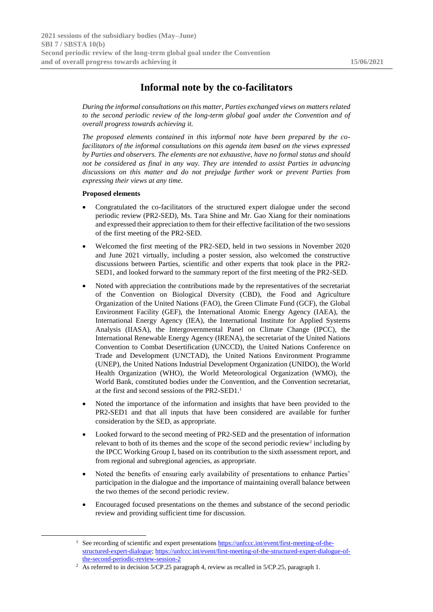## **Informal note by the co-facilitators**

*During the informal consultations on this matter, Parties exchanged views on matters related to the second periodic review of the long-term global goal under the Convention and of overall progress towards achieving it.*

*The proposed elements contained in this informal note have been prepared by the cofacilitators of the informal consultations on this agenda item based on the views expressed by Parties and observers. The elements are not exhaustive, have no formal status and should not be considered as final in any way. They are intended to assist Parties in advancing discussions on this matter and do not prejudge further work or prevent Parties from expressing their views at any time.*

## **Proposed elements**

-

- Congratulated the co-facilitators of the structured expert dialogue under the second periodic review (PR2-SED), Ms. Tara Shine and Mr. Gao Xiang for their nominations and expressed their appreciation to them for their effective facilitation of the two sessions of the first meeting of the PR2-SED.
- Welcomed the first meeting of the PR2-SED, held in two sessions in November 2020 and June 2021 virtually, including a poster session, also welcomed the constructive discussions between Parties, scientific and other experts that took place in the PR2- SED1, and looked forward to the summary report of the first meeting of the PR2-SED.
- Noted with appreciation the contributions made by the representatives of the secretariat of the Convention on Biological Diversity (CBD), the Food and Agriculture Organization of the United Nations (FAO), the Green Climate Fund (GCF), the Global Environment Facility (GEF), the International Atomic Energy Agency (IAEA), the International Energy Agency (IEA), the International Institute for Applied Systems Analysis (IIASA), the Intergovernmental Panel on Climate Change (IPCC), the International Renewable Energy Agency (IRENA), the secretariat of the United Nations Convention to Combat Desertification (UNCCD), the United Nations Conference on Trade and Development (UNCTAD), the United Nations Environment Programme (UNEP), the United Nations Industrial Development Organization (UNIDO), the World Health Organization (WHO), the World Meteorological Organization (WMO), the World Bank, constituted bodies under the Convention, and the Convention secretariat, at the first and second sessions of the PR2-SED1.<sup>1</sup>
- Noted the importance of the information and insights that have been provided to the PR2-SED1 and that all inputs that have been considered are available for further consideration by the SED, as appropriate.
- Looked forward to the second meeting of PR2-SED and the presentation of information relevant to both of its themes and the scope of the second periodic review<sup>2</sup> including by the IPCC Working Group I, based on its contribution to the sixth assessment report, and from regional and subregional agencies, as appropriate.
- Noted the benefits of ensuring early availability of presentations to enhance Parties' participation in the dialogue and the importance of maintaining overall balance between the two themes of the second periodic review.
- Encouraged focused presentations on the themes and substance of the second periodic review and providing sufficient time for discussion.

<sup>&</sup>lt;sup>1</sup> See recording of scientific and expert presentations [https://unfccc.int/event/first-meeting-of-the](https://unfccc.int/event/first-meeting-of-the-structured-expert-dialogue)[structured-expert-dialogue;](https://unfccc.int/event/first-meeting-of-the-structured-expert-dialogue) [https://unfccc.int/event/first-meeting-of-the-structured-expert-dialogue-of](https://unfccc.int/event/first-meeting-of-the-structured-expert-dialogue-of-the-second-periodic-review-session-2)[the-second-periodic-review-session-2](https://unfccc.int/event/first-meeting-of-the-structured-expert-dialogue-of-the-second-periodic-review-session-2)

<sup>&</sup>lt;sup>2</sup> As referred to in decision 5/CP.25 paragraph 4, review as recalled in 5/CP.25, paragraph 1.